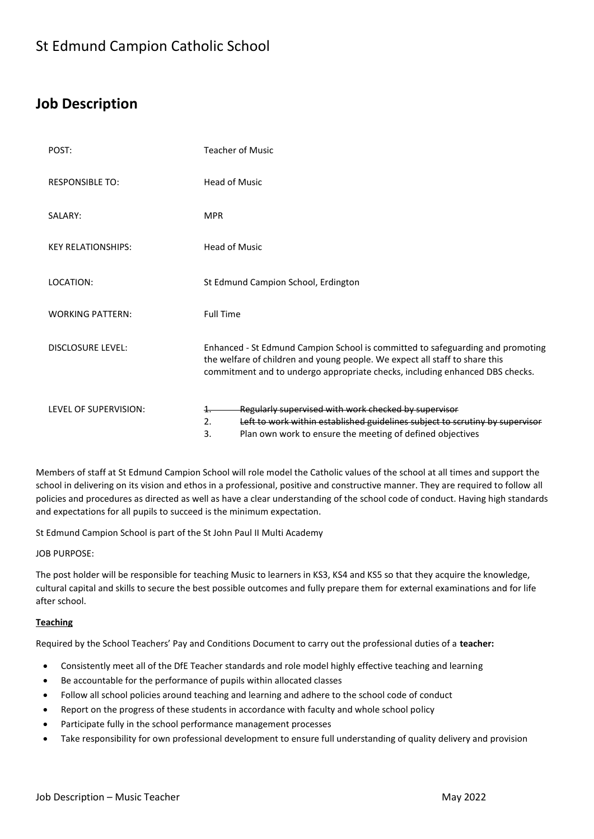## **Job Description**

| POST:                     | <b>Teacher of Music</b>                                                                                                                                                                                                                       |
|---------------------------|-----------------------------------------------------------------------------------------------------------------------------------------------------------------------------------------------------------------------------------------------|
| <b>RESPONSIBLE TO:</b>    | <b>Head of Music</b>                                                                                                                                                                                                                          |
| SALARY:                   | <b>MPR</b>                                                                                                                                                                                                                                    |
| <b>KEY RELATIONSHIPS:</b> | <b>Head of Music</b>                                                                                                                                                                                                                          |
| LOCATION:                 | St Edmund Campion School, Erdington                                                                                                                                                                                                           |
| <b>WORKING PATTERN:</b>   | <b>Full Time</b>                                                                                                                                                                                                                              |
| <b>DISCLOSURE LEVEL:</b>  | Enhanced - St Edmund Campion School is committed to safeguarding and promoting<br>the welfare of children and young people. We expect all staff to share this<br>commitment and to undergo appropriate checks, including enhanced DBS checks. |
| LEVEL OF SUPERVISION:     | Regularly supervised with work checked by supervisor<br>1.<br>Left to work within established guidelines subject to scrutiny by supervisor<br>2.<br>Plan own work to ensure the meeting of defined objectives<br>3.                           |

Members of staff at St Edmund Campion School will role model the Catholic values of the school at all times and support the school in delivering on its vision and ethos in a professional, positive and constructive manner. They are required to follow all policies and procedures as directed as well as have a clear understanding of the school code of conduct. Having high standards and expectations for all pupils to succeed is the minimum expectation.

St Edmund Campion School is part of the St John Paul II Multi Academy

JOB PURPOSE:

The post holder will be responsible for teaching Music to learners in KS3, KS4 and KS5 so that they acquire the knowledge, cultural capital and skills to secure the best possible outcomes and fully prepare them for external examinations and for life after school.

## **Teaching**

Required by the School Teachers' Pay and Conditions Document to carry out the professional duties of a **teacher:**

- Consistently meet all of the DfE Teacher standards and role model highly effective teaching and learning
- Be accountable for the performance of pupils within allocated classes
- Follow all school policies around teaching and learning and adhere to the school code of conduct
- Report on the progress of these students in accordance with faculty and whole school policy
- Participate fully in the school performance management processes
- Take responsibility for own professional development to ensure full understanding of quality delivery and provision